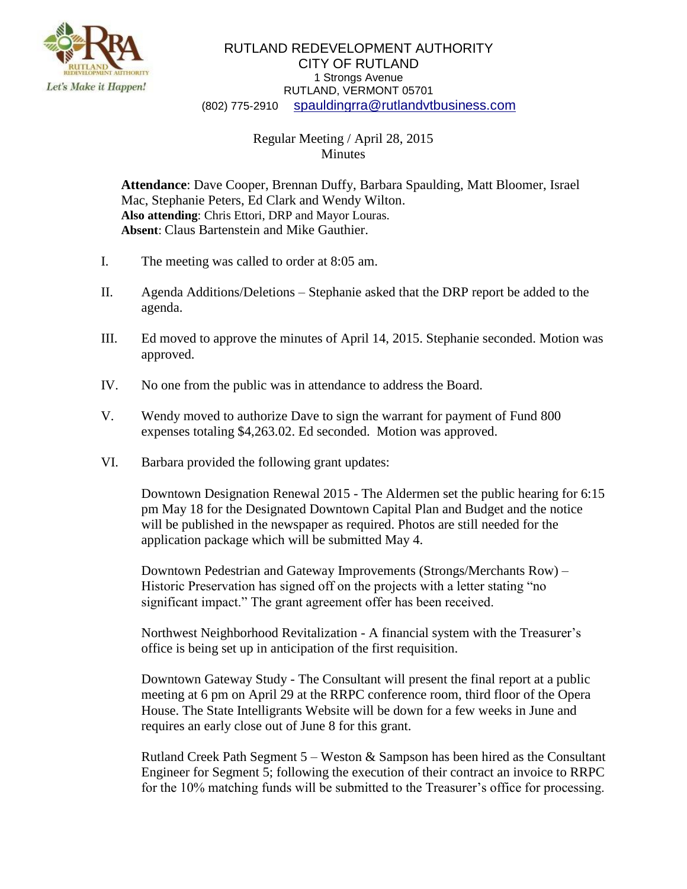

## RUTLAND REDEVELOPMENT AUTHORITY CITY OF RUTLAND 1 Strongs Avenue RUTLAND, VERMONT 05701 (802) 775-2910 [spauldingrra@rutlandvtbusiness.com](mailto:allenrra@rutlandvtbusiness.com)

## Regular Meeting / April 28, 2015 **Minutes**

**Attendance**: Dave Cooper, Brennan Duffy, Barbara Spaulding, Matt Bloomer, Israel Mac, Stephanie Peters, Ed Clark and Wendy Wilton. **Also attending**: Chris Ettori, DRP and Mayor Louras. **Absent**: Claus Bartenstein and Mike Gauthier.

- I. The meeting was called to order at 8:05 am.
- II. Agenda Additions/Deletions Stephanie asked that the DRP report be added to the agenda.
- III. Ed moved to approve the minutes of April 14, 2015. Stephanie seconded. Motion was approved.
- IV. No one from the public was in attendance to address the Board.
- V. Wendy moved to authorize Dave to sign the warrant for payment of Fund 800 expenses totaling \$4,263.02. Ed seconded. Motion was approved.
- VI. Barbara provided the following grant updates:

Downtown Designation Renewal 2015 - The Aldermen set the public hearing for 6:15 pm May 18 for the Designated Downtown Capital Plan and Budget and the notice will be published in the newspaper as required. Photos are still needed for the application package which will be submitted May 4.

Downtown Pedestrian and Gateway Improvements (Strongs/Merchants Row) – Historic Preservation has signed off on the projects with a letter stating "no significant impact." The grant agreement offer has been received.

Northwest Neighborhood Revitalization - A financial system with the Treasurer's office is being set up in anticipation of the first requisition.

Downtown Gateway Study - The Consultant will present the final report at a public meeting at 6 pm on April 29 at the RRPC conference room, third floor of the Opera House. The State Intelligrants Website will be down for a few weeks in June and requires an early close out of June 8 for this grant.

Rutland Creek Path Segment 5 – Weston & Sampson has been hired as the Consultant Engineer for Segment 5; following the execution of their contract an invoice to RRPC for the 10% matching funds will be submitted to the Treasurer's office for processing.